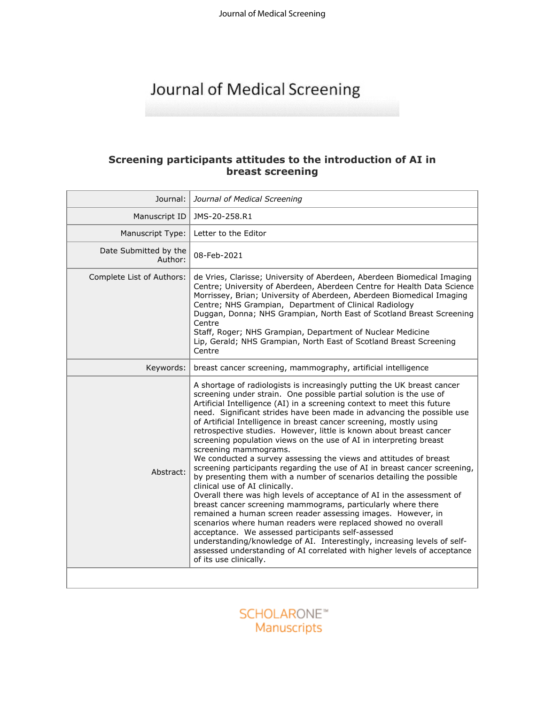# Journal of Medical Screening

#### **Screening participants attitudes to the introduction of AI in breast screening**

| Journal:                         | Journal of Medical Screening                                                                                                                                                                                                                                                                                                                                                                                                                                                                                                                                                                                                                                                                                                                                                                                                                                                                                                                                                                                                                                                                                                                                                                                                                                                                                                     |  |
|----------------------------------|----------------------------------------------------------------------------------------------------------------------------------------------------------------------------------------------------------------------------------------------------------------------------------------------------------------------------------------------------------------------------------------------------------------------------------------------------------------------------------------------------------------------------------------------------------------------------------------------------------------------------------------------------------------------------------------------------------------------------------------------------------------------------------------------------------------------------------------------------------------------------------------------------------------------------------------------------------------------------------------------------------------------------------------------------------------------------------------------------------------------------------------------------------------------------------------------------------------------------------------------------------------------------------------------------------------------------------|--|
| Manuscript ID                    | JMS-20-258.R1                                                                                                                                                                                                                                                                                                                                                                                                                                                                                                                                                                                                                                                                                                                                                                                                                                                                                                                                                                                                                                                                                                                                                                                                                                                                                                                    |  |
| Manuscript Type:                 | Letter to the Editor                                                                                                                                                                                                                                                                                                                                                                                                                                                                                                                                                                                                                                                                                                                                                                                                                                                                                                                                                                                                                                                                                                                                                                                                                                                                                                             |  |
| Date Submitted by the<br>Author: | 08-Feb-2021                                                                                                                                                                                                                                                                                                                                                                                                                                                                                                                                                                                                                                                                                                                                                                                                                                                                                                                                                                                                                                                                                                                                                                                                                                                                                                                      |  |
| Complete List of Authors:        | de Vries, Clarisse; University of Aberdeen, Aberdeen Biomedical Imaging<br>Centre; University of Aberdeen, Aberdeen Centre for Health Data Science<br>Morrissey, Brian; University of Aberdeen, Aberdeen Biomedical Imaging<br>Centre; NHS Grampian, Department of Clinical Radiology<br>Duggan, Donna; NHS Grampian, North East of Scotland Breast Screening<br>Centre<br>Staff, Roger; NHS Grampian, Department of Nuclear Medicine<br>Lip, Gerald; NHS Grampian, North East of Scotland Breast Screening<br>Centre                                                                                                                                                                                                                                                                                                                                                                                                                                                                                                                                                                                                                                                                                                                                                                                                            |  |
| Keywords:                        | breast cancer screening, mammography, artificial intelligence                                                                                                                                                                                                                                                                                                                                                                                                                                                                                                                                                                                                                                                                                                                                                                                                                                                                                                                                                                                                                                                                                                                                                                                                                                                                    |  |
| Abstract:                        | A shortage of radiologists is increasingly putting the UK breast cancer<br>screening under strain. One possible partial solution is the use of<br>Artificial Intelligence (AI) in a screening context to meet this future<br>need. Significant strides have been made in advancing the possible use<br>of Artificial Intelligence in breast cancer screening, mostly using<br>retrospective studies. However, little is known about breast cancer<br>screening population views on the use of AI in interpreting breast<br>screening mammograms.<br>We conducted a survey assessing the views and attitudes of breast<br>screening participants regarding the use of AI in breast cancer screening,<br>by presenting them with a number of scenarios detailing the possible<br>clinical use of AI clinically.<br>Overall there was high levels of acceptance of AI in the assessment of<br>breast cancer screening mammograms, particularly where there<br>remained a human screen reader assessing images. However, in<br>scenarios where human readers were replaced showed no overall<br>acceptance. We assessed participants self-assessed<br>understanding/knowledge of AI. Interestingly, increasing levels of self-<br>assessed understanding of AI correlated with higher levels of acceptance<br>of its use clinically. |  |
|                                  |                                                                                                                                                                                                                                                                                                                                                                                                                                                                                                                                                                                                                                                                                                                                                                                                                                                                                                                                                                                                                                                                                                                                                                                                                                                                                                                                  |  |

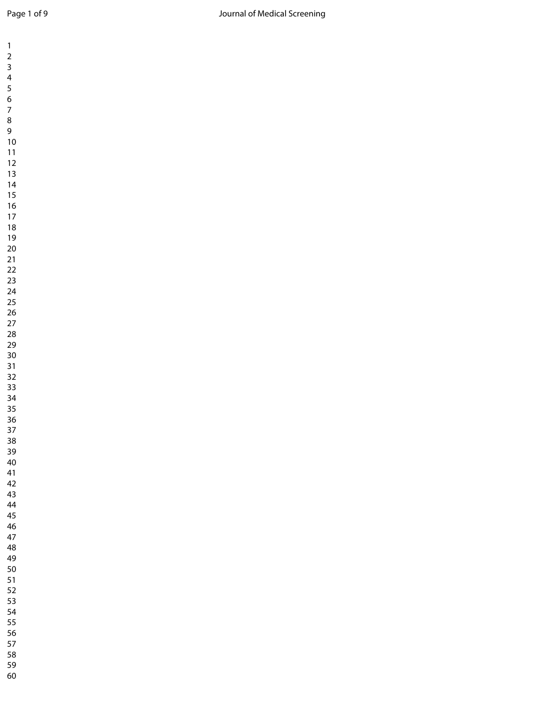$\mathbf{1}$   $\overline{2}$  $\overline{\mathbf{3}}$ 

- $\overline{\mathcal{A}}$  $\overline{5}$
- $\boldsymbol{6}$
- $\overline{7}$
- $\bf 8$
- $\mathsf g$
- 
- 
- 
- 
- 
- 
- 
- 
- 
- 
- 
- 
- 
- 
- 
- 
- 
- 
- 
- 
- 
- 
- 
- 
- 
- 
- 
- 
- 
- 
- 
- 
- 
- 
-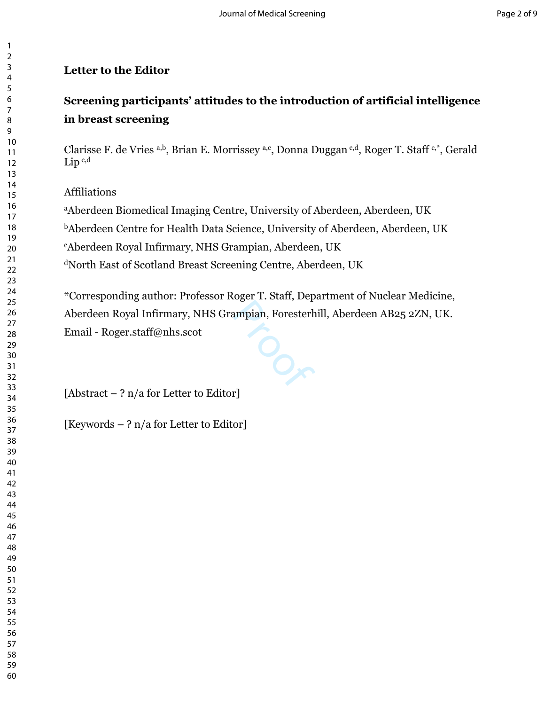## **Letter to the Editor**

## **Screening participants' attitudes to the introduction of artificial intelligence in breast screening**

Clarisse F. de Vries a,b, Brian E. Morrissey a,c, Donna Duggan c,d, Roger T. Staff c,\*, Gerald  $Lip^{c,d}$ 

### Affiliations

<sup>a</sup>Aberdeen Biomedical Imaging Centre, University of Aberdeen, Aberdeen, UK <sup>b</sup>Aberdeen Centre for Health Data Science, University of Aberdeen, Aberdeen, UK <sup>c</sup>Aberdeen Royal Infirmary, NHS Grampian, Aberdeen, UK <sup>d</sup>North East of Scotland Breast Screening Centre, Aberdeen, UK

 $P_{\mathcal{O}_{\mathcal{F}}}$ \*Corresponding author: Professor Roger T. Staff, Department of Nuclear Medicine, Aberdeen Royal Infirmary, NHS Grampian, Foresterhill, Aberdeen AB25 2ZN, UK. Email - Roger.staff@nhs.scot

[Abstract – ? n/a for Letter to Editor]

[Keywords – ? n/a for Letter to Editor]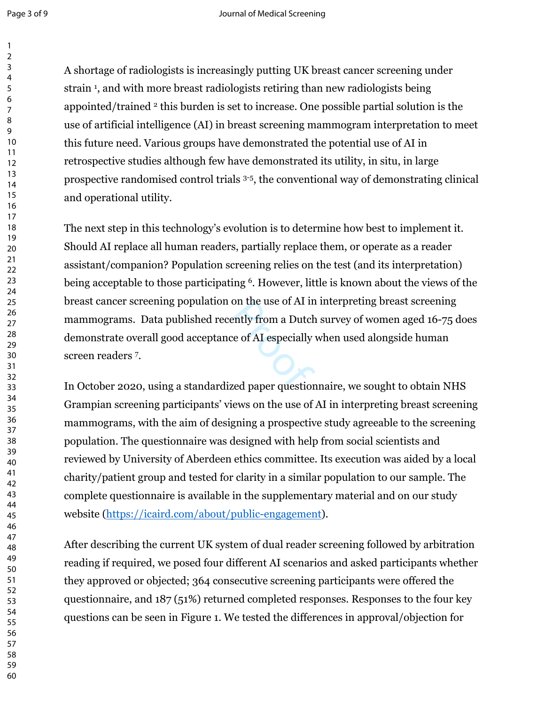A shortage of radiologists is increasingly putting UK breast cancer screening under strain<sup>1</sup>, and with more breast radiologists retiring than new radiologists being appointed/trained <sup>2</sup> this burden is set to increase. One possible partial solution is the use of artificial intelligence (AI) in breast screening mammogram interpretation to meet this future need. Various groups have demonstrated the potential use of AI in retrospective studies although few have demonstrated its utility, in situ, in large prospective randomised control trials 3-5, the conventional way of demonstrating clinical and operational utility.

on the use of A1 in<br>ently from a Dutch<br>e of AI especially<br>ed paper question The next step in this technology's evolution is to determine how best to implement it. Should AI replace all human readers, partially replace them, or operate as a reader assistant/companion? Population screening relies on the test (and its interpretation) being acceptable to those participating <sup>6</sup>. However, little is known about the views of the breast cancer screening population on the use of AI in interpreting breast screening mammograms. Data published recently from a Dutch survey of women aged 16-75 does demonstrate overall good acceptance of AI especially when used alongside human screen readers <sup>7</sup> .

In October 2020, using a standardized paper questionnaire, we sought to obtain NHS Grampian screening participants' views on the use of AI in interpreting breast screening mammograms, with the aim of designing a prospective study agreeable to the screening population. The questionnaire was designed with help from social scientists and reviewed by University of Aberdeen ethics committee. Its execution was aided by a local charity/patient group and tested for clarity in a similar population to our sample. The complete questionnaire is available in the supplementary material and on our study website [\(https://icaird.com/about/public-engagement](https://icaird.com/about/public-engagement)).

After describing the current UK system of dual reader screening followed by arbitration reading if required, we posed four different AI scenarios and asked participants whether they approved or objected; 364 consecutive screening participants were offered the questionnaire, and 187 (51%) returned completed responses. Responses to the four key questions can be seen in Figure 1. We tested the differences in approval/objection for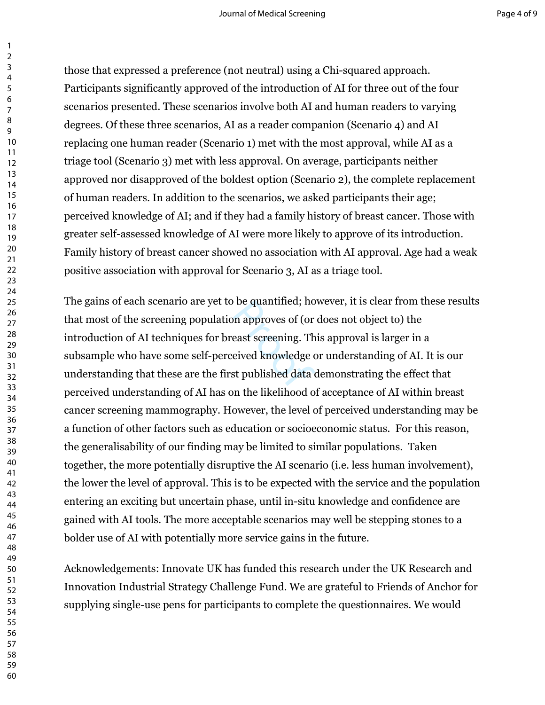those that expressed a preference (not neutral) using a Chi-squared approach. Participants significantly approved of the introduction of AI for three out of the four scenarios presented. These scenarios involve both AI and human readers to varying degrees. Of these three scenarios, AI as a reader companion (Scenario 4) and AI replacing one human reader (Scenario 1) met with the most approval, while AI as a triage tool (Scenario 3) met with less approval. On average, participants neither approved nor disapproved of the boldest option (Scenario 2), the complete replacement of human readers. In addition to the scenarios, we asked participants their age; perceived knowledge of AI; and if they had a family history of breast cancer. Those with greater self-assessed knowledge of AI were more likely to approve of its introduction. Family history of breast cancer showed no association with AI approval. Age had a weak positive association with approval for Scenario 3, AI as a triage tool.

be quantined; no<br>n approves of (or<br>east screening. Th<br>eived knowledge of<br>st published data or<br>mathedikalikeed on The gains of each scenario are yet to be quantified; however, it is clear from these results that most of the screening population approves of (or does not object to) the introduction of AI techniques for breast screening. This approval is larger in a subsample who have some self-perceived knowledge or understanding of AI. It is our understanding that these are the first published data demonstrating the effect that perceived understanding of AI has on the likelihood of acceptance of AI within breast cancer screening mammography. However, the level of perceived understanding may be a function of other factors such as education or socioeconomic status. For this reason, the generalisability of our finding may be limited to similar populations. Taken together, the more potentially disruptive the AI scenario (i.e. less human involvement), the lower the level of approval. This is to be expected with the service and the population entering an exciting but uncertain phase, until in-situ knowledge and confidence are gained with AI tools. The more acceptable scenarios may well be stepping stones to a bolder use of AI with potentially more service gains in the future.

Acknowledgements: Innovate UK has funded this research under the UK Research and Innovation Industrial Strategy Challenge Fund. We are grateful to Friends of Anchor for supplying single-use pens for participants to complete the questionnaires. We would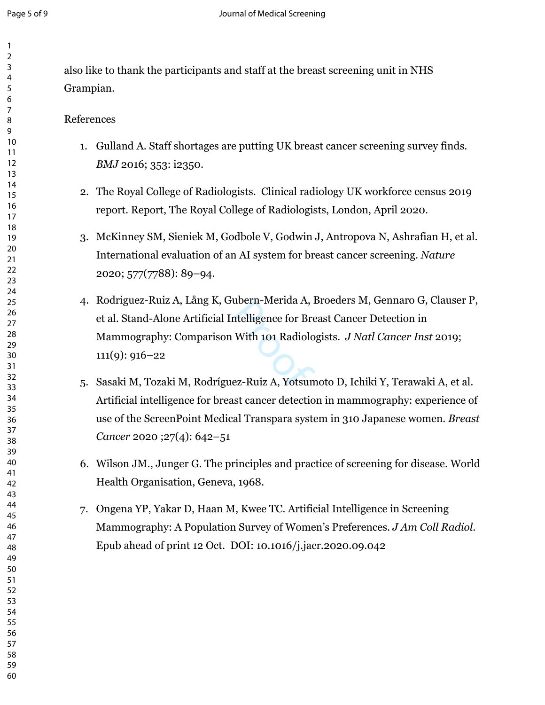also like to thank the participants and staff at the breast screening unit in NHS Grampian.

References

- 1. Gulland A. Staff shortages are putting UK breast cancer screening survey finds. *BMJ* 2016; 353: i2350.
- 2. The Royal College of Radiologists. Clinical radiology UK workforce census 2019 report. Report, The Royal College of Radiologists, London, April 2020.
- 3. McKinney SM, Sieniek M, Godbole V, Godwin J, Antropova N, Ashrafian H, et al. International evaluation of an AI system for breast cancer screening. *Nature* 2020; 577(7788): 89–94.
- ubern-Merida A, 1<br>htelligence for Bre<br>With 101 Radiolo<br>ez-Ruiz A, Yotsun 4. Rodriguez-Ruiz A, Lång K, Gubern-Merida A, Broeders M, Gennaro G, Clauser P, et al. Stand-Alone Artificial Intelligence for Breast Cancer Detection in Mammography: Comparison With 101 Radiologists. *J Natl Cancer Inst* 2019; 111(9): 916–22
- 5. Sasaki M, Tozaki M, Rodríguez-Ruiz A, Yotsumoto D, Ichiki Y, Terawaki A, et al. Artificial intelligence for breast cancer detection in mammography: experience of use of the ScreenPoint Medical Transpara system in 310 Japanese women. *Breast Cancer* 2020 ;27(4): 642–51
- 6. Wilson JM., Junger G. The principles and practice of screening for disease. World Health Organisation, Geneva, 1968.
- 7. Ongena YP, Yakar D, Haan M, Kwee TC. Artificial Intelligence in Screening Mammography: A Population Survey of Women's Preferences. *J Am Coll Radiol*. Epub ahead of print 12 Oct. DOI: 10.1016/j.jacr.2020.09.042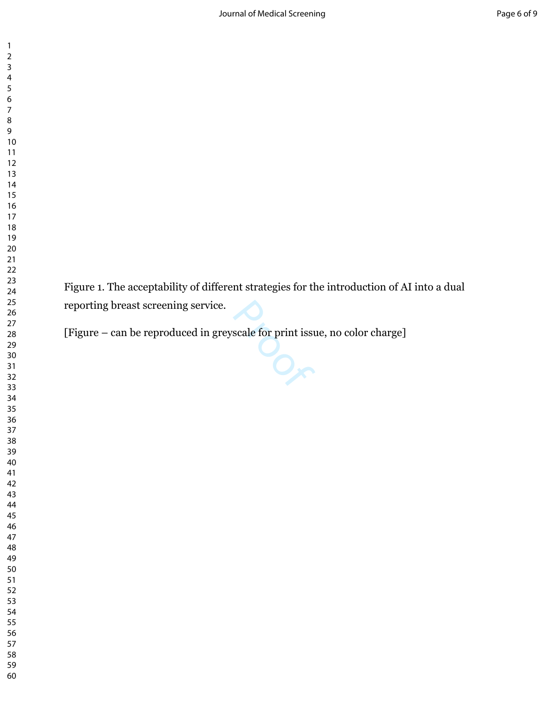Figure 1. The acceptability of different strategies for the introduction of AI into a dual reporting breast screening service.

 $O_{\mathcal{F}}$ 

[Figure – can be reproduced in greyscale for print issue, no color charge]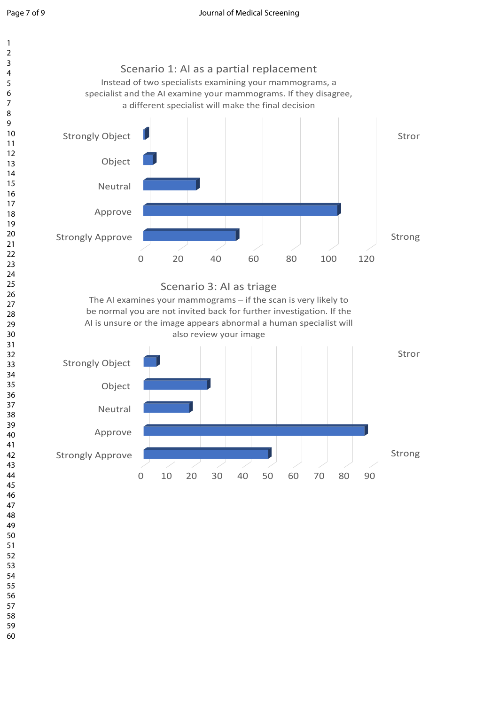

- 
-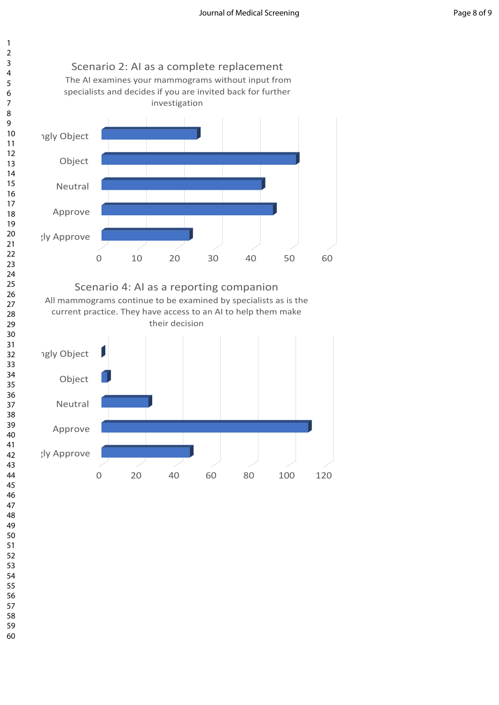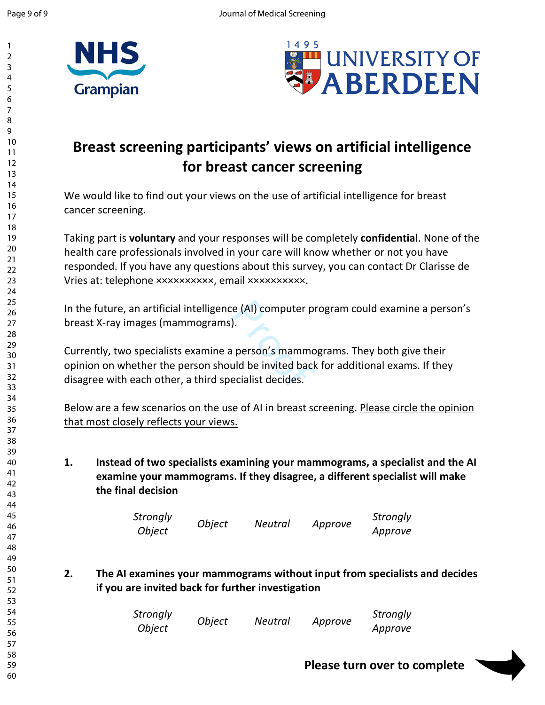



# **Breast screening participants' views on artificial intelligence for breast cancer screening**

We would like to find out your views on the use of artificial intelligence for breast cancer screening.

Taking part is **voluntary** and your responses will be completely **confidential**. None of the health care professionals involved in your care will know whether or not you have responded. If you have any questions about this survey, you can contact Dr Clarisse de Vries at: telephone ××××××××××, email ××××××××××.

breast X-ray images (mammograms).

In the future, an artificial intelligence (AI) computer program could examine a person's<br>breast X-ray images (mammograms).<br>Currently, two specialists examine a person's mammograms. They both give their<br>opinion on whether t Currently, two specialists examine a person's mammograms. They both give their opinion on whether the person should be invited back for additional exams. If they disagree with each other, a third specialist decides.

Below are a few scenarios on the use of AI in breast screening. Please circle the opinion that most closely reflects your views.

**1. Instead of two specialists examining your mammograms, a specialist and the AI examine your mammograms. If they disagree, a different specialist will make the final decision**

| Strongly | Object | <b>Neutral</b> | Approve | Strongly |
|----------|--------|----------------|---------|----------|
| Object   |        |                |         | Approve  |

**2. The AI examines your mammograms without input from specialists and decides if you are invited back for further investigation**

| Strongly | Object | <b>Neutral</b> | Approve | Strongly |
|----------|--------|----------------|---------|----------|
| Object   |        |                |         | Approve  |



**Please turn over to complete**